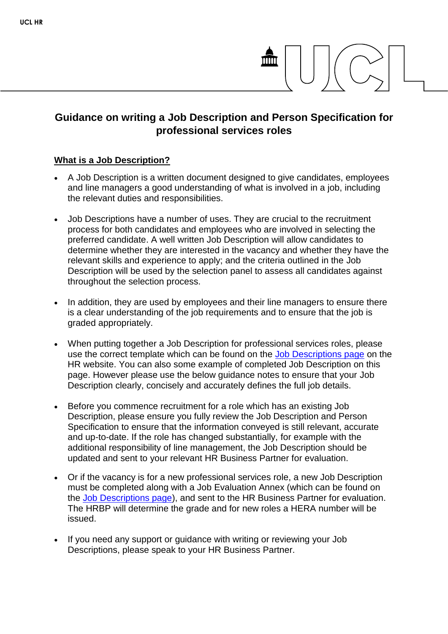# **Guidance on writing a Job Description and Person Specification for professional services roles**

# **What is a Job Description?**

- A Job Description is a written document designed to give candidates, employees and line managers a good understanding of what is involved in a job, including the relevant duties and responsibilities.
- Job Descriptions have a number of uses. They are crucial to the recruitment process for both candidates and employees who are involved in selecting the preferred candidate. A well written Job Description will allow candidates to determine whether they are interested in the vacancy and whether they have the relevant skills and experience to apply; and the criteria outlined in the Job Description will be used by the selection panel to assess all candidates against throughout the selection process.
- In addition, they are used by employees and their line managers to ensure there is a clear understanding of the job requirements and to ensure that the job is graded appropriately.
- When putting together a Job Description for professional services roles, please use the correct template which can be found on the [Job Descriptions page](https://www.ucl.ac.uk/human-resources/working-ucl/job-descriptions) on the HR website. You can also some example of completed Job Description on this page. However please use the below guidance notes to ensure that your Job Description clearly, concisely and accurately defines the full job details.
- Before you commence recruitment for a role which has an existing Job Description, please ensure you fully review the Job Description and Person Specification to ensure that the information conveyed is still relevant, accurate and up-to-date. If the role has changed substantially, for example with the additional responsibility of line management, the Job Description should be updated and sent to your relevant HR Business Partner for evaluation.
- Or if the vacancy is for a new professional services role, a new Job Description must be completed along with a Job Evaluation Annex (which can be found on the [Job Descriptions page\)](https://www.ucl.ac.uk/human-resources/working-ucl/job-descriptions), and sent to the HR Business Partner for evaluation. The HRBP will determine the grade and for new roles a HERA number will be issued.
- If you need any support or guidance with writing or reviewing your Job Descriptions, please speak to your HR Business Partner.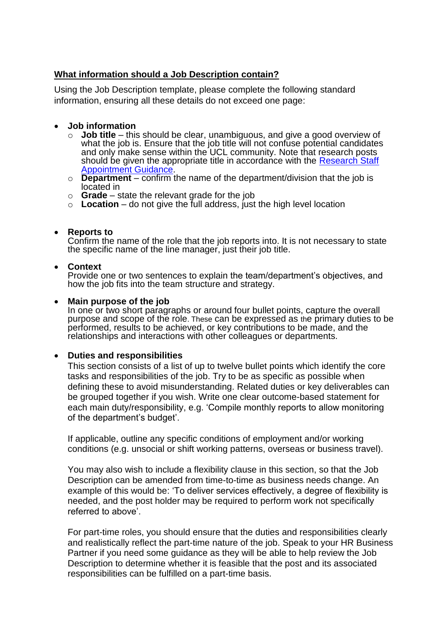# **What information should a Job Description contain?**

Using the Job Description template, please complete the following standard information, ensuring all these details do not exceed one page:

#### **Job information**

- o **Job title** this should be clear, unambiguous, and give a good overview of what the job is. Ensure that the job title will not confuse potential candidates and only make sense within the UCL community. Note that research posts should be given the appropriate title in accordance with the Research Staff [Appointment Guidance.](https://www.ucl.ac.uk/human-resources/research-staff-appointment-guidance)
- o **Department**  confirm the name of the department/division that the job is located in
- o **Grade** state the relevant grade for the job
- o **Location**  do not give the full address, just the high level location

#### **Reports to**

Confirm the name of the role that the job reports into. It is not necessary to state the specific name of the line manager, just their job title.

#### **Context**

Provide one or two sentences to explain the team/department's objectives, and how the job fits into the team structure and strategy.

#### **Main purpose of the job**

In one or two short paragraphs or around four bullet points, capture the overall purpose and scope of the role. These can be expressed as the primary duties to be performed, results to be achieved, or key contributions to be made, and the relationships and interactions with other colleagues or departments.

#### **Duties and responsibilities**

This section consists of a list of up to twelve bullet points which identify the core tasks and responsibilities of the job. Try to be as specific as possible when defining these to avoid misunderstanding. Related duties or key deliverables can be grouped together if you wish. Write one clear outcome-based statement for each main duty/responsibility, e.g. 'Compile monthly reports to allow monitoring of the department's budget'.

If applicable, outline any specific conditions of employment and/or working conditions (e.g. unsocial or shift working patterns, overseas or business travel).

You may also wish to include a flexibility clause in this section, so that the Job Description can be amended from time-to-time as business needs change. An example of this would be: 'To deliver services effectively, a degree of flexibility is needed, and the post holder may be required to perform work not specifically referred to above'.

For part-time roles, you should ensure that the duties and responsibilities clearly and realistically reflect the part-time nature of the job. Speak to your HR Business Partner if you need some guidance as they will be able to help review the Job Description to determine whether it is feasible that the post and its associated responsibilities can be fulfilled on a part-time basis.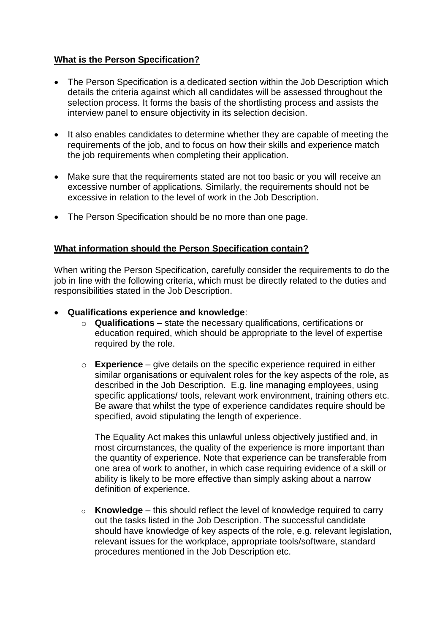# **What is the Person Specification?**

- The Person Specification is a dedicated section within the Job Description which details the criteria against which all candidates will be assessed throughout the selection process. It forms the basis of the shortlisting process and assists the interview panel to ensure objectivity in its selection decision.
- It also enables candidates to determine whether they are capable of meeting the requirements of the job, and to focus on how their skills and experience match the job requirements when completing their application.
- Make sure that the requirements stated are not too basic or you will receive an excessive number of applications. Similarly, the requirements should not be excessive in relation to the level of work in the Job Description.
- The Person Specification should be no more than one page.

#### **What information should the Person Specification contain?**

When writing the Person Specification, carefully consider the requirements to do the job in line with the following criteria, which must be directly related to the duties and responsibilities stated in the Job Description.

- **Qualifications experience and knowledge**:
	- o **Qualifications** state the necessary qualifications, certifications or education required, which should be appropriate to the level of expertise required by the role.
	- o **Experience**  give details on the specific experience required in either similar organisations or equivalent roles for the key aspects of the role, as described in the Job Description. E.g. line managing employees, using specific applications/ tools, relevant work environment, training others etc. Be aware that whilst the type of experience candidates require should be specified, avoid stipulating the length of experience.

The Equality Act makes this unlawful unless objectively justified and, in most circumstances, the quality of the experience is more important than the quantity of experience. Note that experience can be transferable from one area of work to another, in which case requiring evidence of a skill or ability is likely to be more effective than simply asking about a narrow definition of experience.

o **Knowledge** – this should reflect the level of knowledge required to carry out the tasks listed in the Job Description. The successful candidate should have knowledge of key aspects of the role, e.g. relevant legislation, relevant issues for the workplace, appropriate tools/software, standard procedures mentioned in the Job Description etc.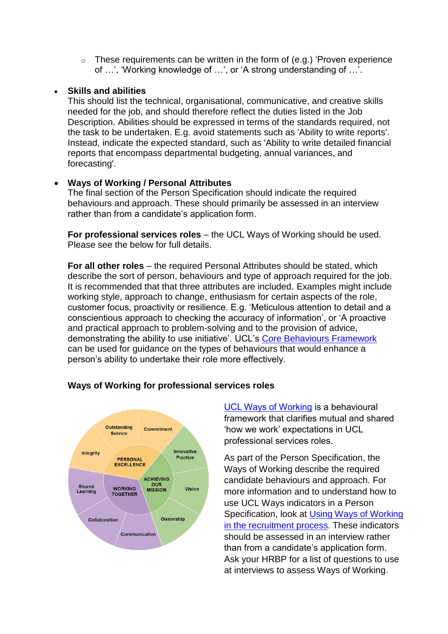$\circ$  These requirements can be written in the form of (e.g.) 'Proven experience of …', 'Working knowledge of …', or 'A strong understanding of …'.

# **Skills and abilities**

This should list the technical, organisational, communicative, and creative skills needed for the job, and should therefore reflect the duties listed in the Job Description. Abilities should be expressed in terms of the standards required, not the task to be undertaken. E.g. avoid statements such as 'Ability to write reports'. Instead, indicate the expected standard, such as 'Ability to write detailed financial reports that encompass departmental budgeting, annual variances, and forecasting'.

### **Ways of Working / Personal Attributes**

The final section of the Person Specification should indicate the required behaviours and approach. These should primarily be assessed in an interview rather than from a candidate's application form.

**For professional services roles** – the UCL Ways of Working should be used. Please see the below for full details.

**For all other roles** – the required Personal Attributes should be stated, which describe the sort of person, behaviours and type of approach required for the job. It is recommended that that three attributes are included. Examples might include working style, approach to change, enthusiasm for certain aspects of the role, customer focus, proactivity or resilience. E.g. 'Meticulous attention to detail and a conscientious approach to checking the accuracy of information', or 'A proactive and practical approach to problem-solving and to the provision of advice, demonstrating the ability to use initiative'. UCL's [Core Behaviours Framework](https://www.ucl.ac.uk/human-resources/policies-advice/core-behaviours-framework) can be used for guidance on the types of behaviours that would enhance a person's ability to undertake their role more effectively.



# **Ways of Working for professional services roles**

[UCL Ways of Working](http://www.ucl.ac.uk/ways-of-working) is a behavioural framework that clarifies mutual and shared 'how we work' expectations in UCL professional services roles.

As part of the Person Specification, the Ways of Working describe the required candidate behaviours and approach. For more information and to understand how to use UCL Ways indicators in a Person Specification, look at [Using Ways of Working](https://www.ucl.ac.uk/human-resources/how-use-ucl-ways-working)  [in the recruitment process](https://www.ucl.ac.uk/human-resources/how-use-ucl-ways-working). These indicators should be assessed in an interview rather than from a candidate's application form. Ask your HRBP for a list of questions to use at interviews to assess Ways of Working.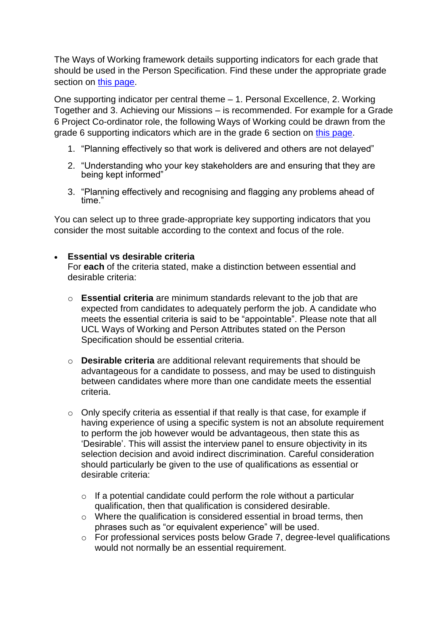The Ways of Working framework details supporting indicators for each grade that should be used in the Person Specification. Find these under the appropriate grade section on [this page.](http://www.ucl.ac.uk/ways-of-working)

One supporting indicator per central theme – 1. Personal Excellence, 2. Working Together and 3. Achieving our Missions – is recommended. For example for a Grade 6 Project Co-ordinator role, the following Ways of Working could be drawn from the grade 6 supporting indicators which are in the grade 6 section on [this page.](http://www.ucl.ac.uk/ways-of-working)

- 1. "Planning effectively so that work is delivered and others are not delayed"
- 2. "Understanding who your key stakeholders are and ensuring that they are being kept informed"
- 3. "Planning effectively and recognising and flagging any problems ahead of time."

You can select up to three grade-appropriate key supporting indicators that you consider the most suitable according to the context and focus of the role.

# **Essential vs desirable criteria**

For **each** of the criteria stated, make a distinction between essential and desirable criteria:

- o **Essential criteria** are minimum standards relevant to the job that are expected from candidates to adequately perform the job. A candidate who meets the essential criteria is said to be "appointable". Please note that all UCL Ways of Working and Person Attributes stated on the Person Specification should be essential criteria.
- o **Desirable criteria** are additional relevant requirements that should be advantageous for a candidate to possess, and may be used to distinguish between candidates where more than one candidate meets the essential criteria.
- o Only specify criteria as essential if that really is that case, for example if having experience of using a specific system is not an absolute requirement to perform the job however would be advantageous, then state this as 'Desirable'. This will assist the interview panel to ensure objectivity in its selection decision and avoid indirect discrimination. Careful consideration should particularly be given to the use of qualifications as essential or desirable criteria:
	- $\circ$  If a potential candidate could perform the role without a particular qualification, then that qualification is considered desirable.
	- o Where the qualification is considered essential in broad terms, then phrases such as "or equivalent experience" will be used.
	- o For professional services posts below Grade 7, degree-level qualifications would not normally be an essential requirement.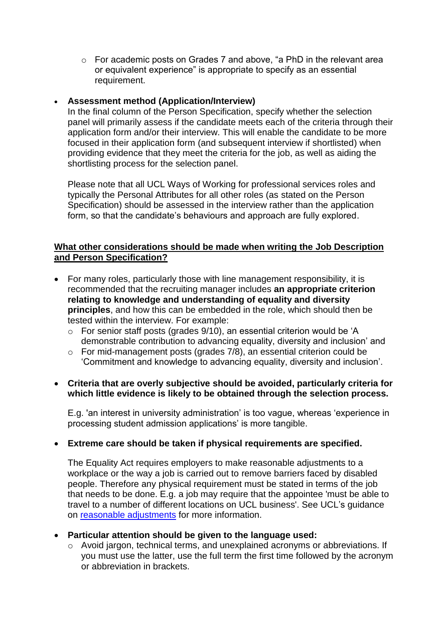o For academic posts on Grades 7 and above, "a PhD in the relevant area or equivalent experience" is appropriate to specify as an essential requirement.

# **Assessment method (Application/Interview)**

In the final column of the Person Specification, specify whether the selection panel will primarily assess if the candidate meets each of the criteria through their application form and/or their interview. This will enable the candidate to be more focused in their application form (and subsequent interview if shortlisted) when providing evidence that they meet the criteria for the job, as well as aiding the shortlisting process for the selection panel.

Please note that all UCL Ways of Working for professional services roles and typically the Personal Attributes for all other roles (as stated on the Person Specification) should be assessed in the interview rather than the application form, so that the candidate's behaviours and approach are fully explored.

## **What other considerations should be made when writing the Job Description and Person Specification?**

- For many roles, particularly those with line management responsibility, it is recommended that the recruiting manager includes **an appropriate criterion relating to knowledge and understanding of equality and diversity principles**, and how this can be embedded in the role, which should then be tested within the interview. For example:
	- o For senior staff posts (grades 9/10), an essential criterion would be 'A demonstrable contribution to advancing equality, diversity and inclusion' and
	- o For mid-management posts (grades 7/8), an essential criterion could be 'Commitment and knowledge to advancing equality, diversity and inclusion'.

### **Criteria that are overly subjective should be avoided, particularly criteria for which little evidence is likely to be obtained through the selection process.**

E.g. 'an interest in university administration' is too vague, whereas 'experience in processing student admission applications' is more tangible.

### **Extreme care should be taken if physical requirements are specified.**

The Equality Act requires employers to make reasonable adjustments to a workplace or the way a job is carried out to remove barriers faced by disabled people. Therefore any physical requirement must be stated in terms of the job that needs to be done. E.g. a job may require that the appointee 'must be able to travel to a number of different locations on UCL business'. See UCL's guidance on [reasonable adjustments](https://www.ucl.ac.uk/human-resources/equality-diversity-inclusion/equality-areas-and-support-staff-and-managers/disability-equality-1) for more information.

### **Particular attention should be given to the language used:**

o Avoid jargon, technical terms, and unexplained acronyms or abbreviations. If you must use the latter, use the full term the first time followed by the acronym or abbreviation in brackets.